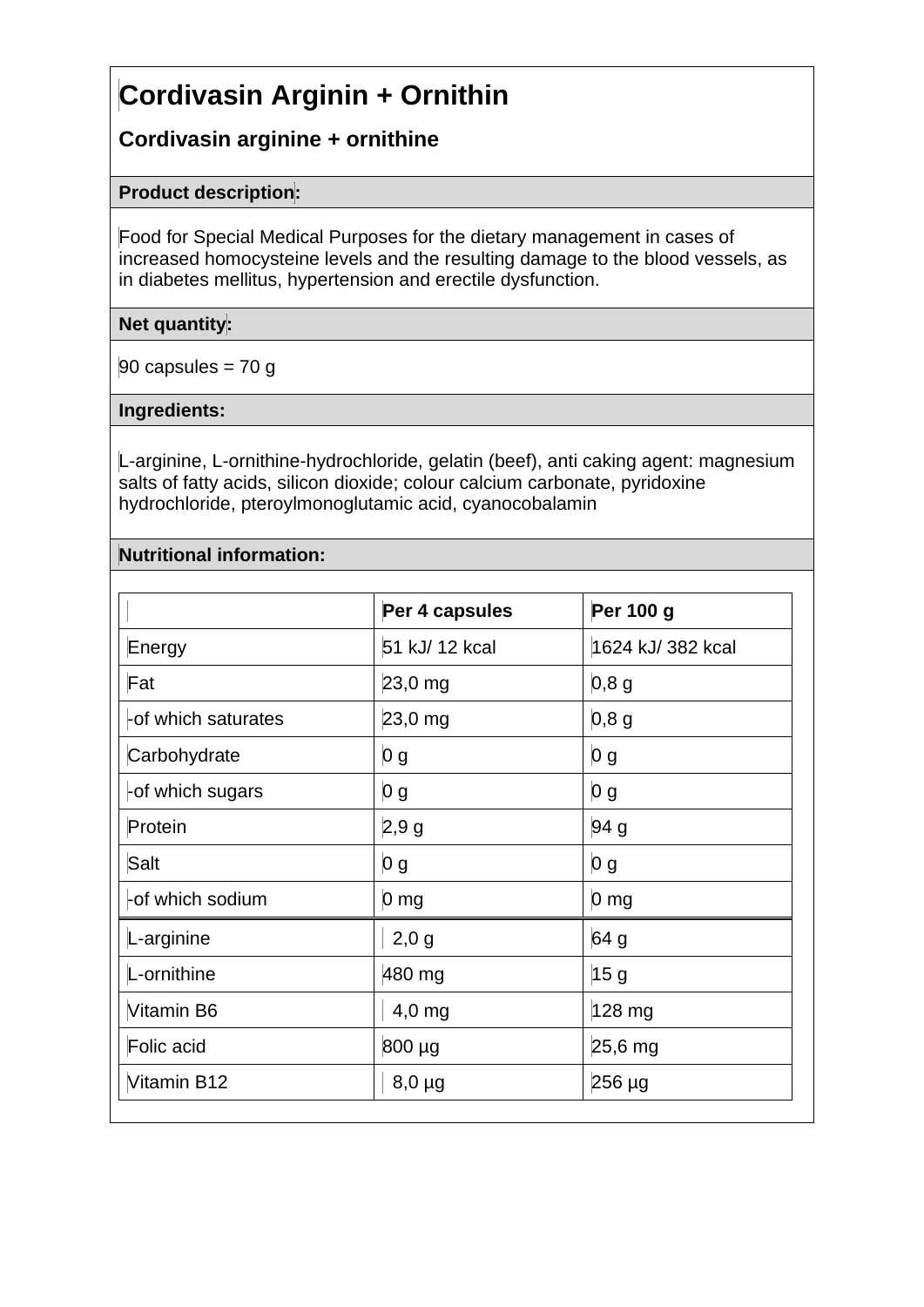# **Cordivasin Arginin + Ornithin**

## **Cordivasin arginine + ornithine**

## **Product description:**

Food for Special Medical Purposes for the dietary management in cases of increased homocysteine levels and the resulting damage to the blood vessels, as in diabetes mellitus, hypertension and erectile dysfunction.

## **Net quantity:**

 $90$  capsules = 70 g

#### **Ingredients:**

L-arginine, L-ornithine-hydrochloride, gelatin (beef), anti caking agent: magnesium salts of fatty acids, silicon dioxide; colour calcium carbonate, pyridoxine hydrochloride, pteroylmonoglutamic acid, cyanocobalamin

## **Nutritional information:**

|                     | Per 4 capsules  | Per 100 g         |
|---------------------|-----------------|-------------------|
| Energy              | 51 kJ/ 12 kcal  | 1624 kJ/ 382 kcal |
| Fat                 | $23,0$ mg       | 0,8,9             |
| -of which saturates | 23,0 mg         | $0,8$ g           |
| Carbohydrate        | 0 g             | 0 <sub>g</sub>    |
| -of which sugars    | 0 g             | $\vert 0 g \vert$ |
| Protein             | 2,9g            | 94 g              |
| Salt                | 0 <sub>g</sub>  | 0 g               |
| -of which sodium    | 0 <sub>mg</sub> | 0 <sub>mg</sub>   |
| L-arginine          | $2,0$ g         | 64 g              |
| L-ornithine         | 480 mg          | 15 <sub>g</sub>   |
| Vitamin B6          | $4,0$ mg        | 128 mg            |
| Folic acid          | 800 µg          | 25,6 mg           |
| Vitamin B12         | $8,0 \mu$ g     | $256 \mu g$       |